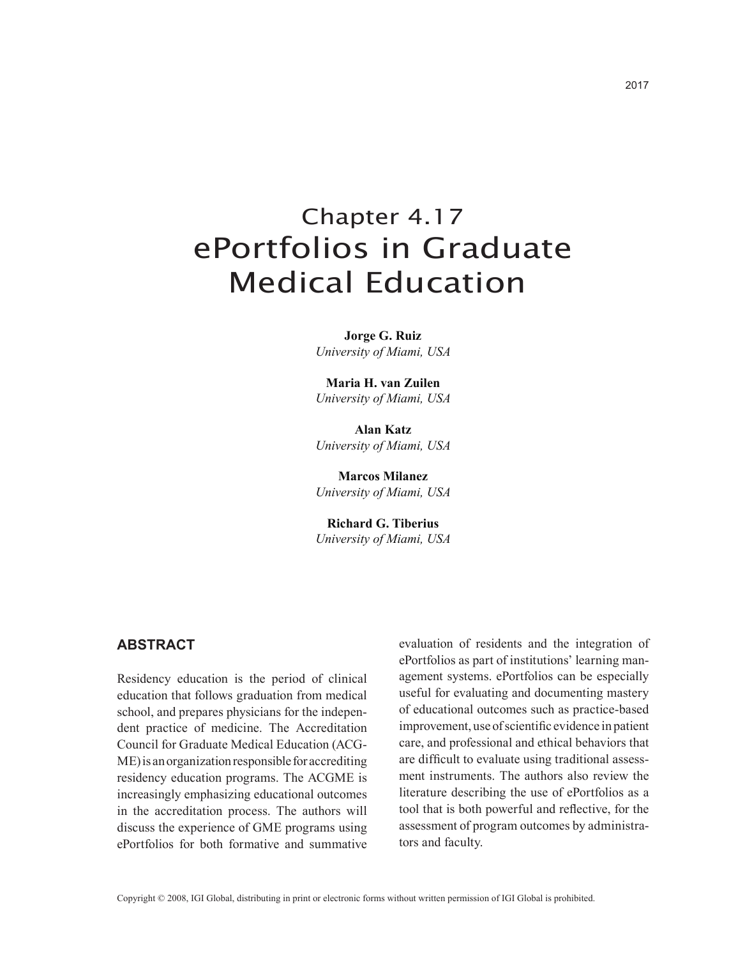2017

# Chapter 4.17 ePortfolios in Graduate Medical Education

**Jorge G. Ruiz** *University of Miami, USA*

**Maria H. van Zuilen** *University of Miami, USA*

**Alan Katz** *University of Miami, USA*

**Marcos Milanez** *University of Miami, USA*

**Richard G. Tiberius** *University of Miami, USA*

## **AbstrAct**

Residency education is the period of clinical education that follows graduation from medical school, and prepares physicians for the independent practice of medicine. The Accreditation Council for Graduate Medical Education (ACG-ME) is an organization responsible for accrediting residency education programs. The ACGME is increasingly emphasizing educational outcomes in the accreditation process. The authors will discuss the experience of GME programs using ePortfolios for both formative and summative

evaluation of residents and the integration of ePortfolios as part of institutions' learning management systems. ePortfolios can be especially useful for evaluating and documenting mastery of educational outcomes such as practice-based improvement, use of scientific evidence in patient care, and professional and ethical behaviors that are difficult to evaluate using traditional assessment instruments. The authors also review the literature describing the use of ePortfolios as a tool that is both powerful and reflective, for the assessment of program outcomes by administrators and faculty.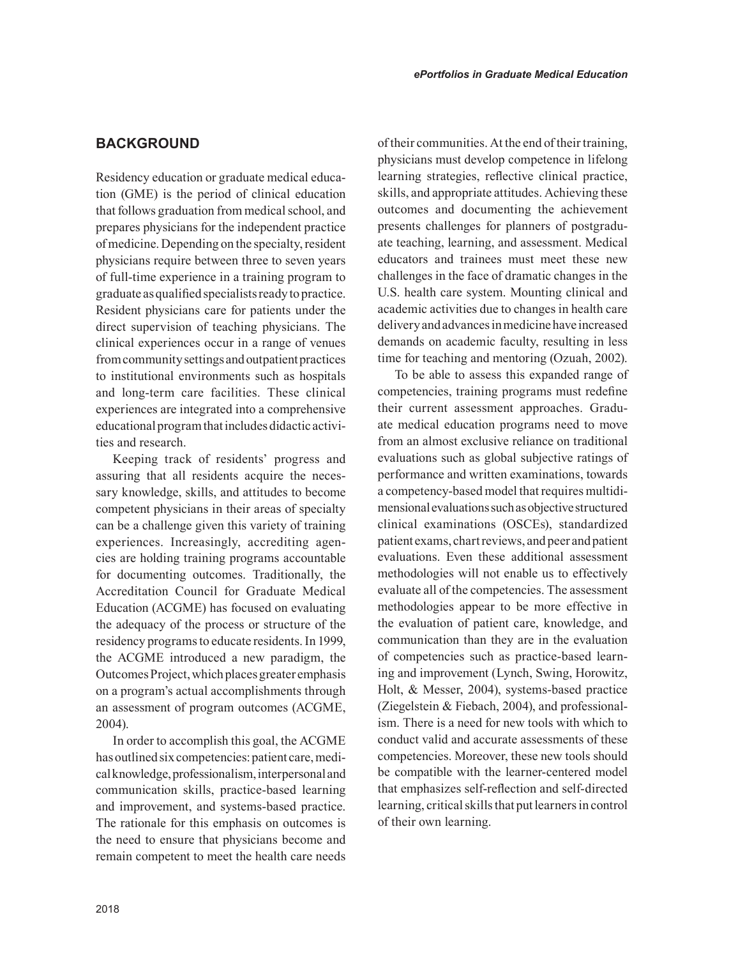# **bAcKground**

Residency education or graduate medical education (GME) is the period of clinical education that follows graduation from medical school, and prepares physicians for the independent practice of medicine. Depending on the specialty, resident physicians require between three to seven years of full-time experience in a training program to graduate as qualified specialists ready to practice. Resident physicians care for patients under the direct supervision of teaching physicians. The clinical experiences occur in a range of venues from community settings and outpatient practices to institutional environments such as hospitals and long-term care facilities. These clinical experiences are integrated into a comprehensive educational program that includes didactic activities and research.

Keeping track of residents' progress and assuring that all residents acquire the necessary knowledge, skills, and attitudes to become competent physicians in their areas of specialty can be a challenge given this variety of training experiences. Increasingly, accrediting agencies are holding training programs accountable for documenting outcomes. Traditionally, the Accreditation Council for Graduate Medical Education (ACGME) has focused on evaluating the adequacy of the process or structure of the residency programs to educate residents. In 1999, the ACGME introduced a new paradigm, the Outcomes Project, which places greater emphasis on a program's actual accomplishments through an assessment of program outcomes (ACGME, 2004).

In order to accomplish this goal, the ACGME has outlined six competencies: patient care, medical knowledge, professionalism, interpersonal and communication skills, practice-based learning and improvement, and systems-based practice. The rationale for this emphasis on outcomes is the need to ensure that physicians become and remain competent to meet the health care needs of their communities. At the end of their training, physicians must develop competence in lifelong learning strategies, reflective clinical practice, skills, and appropriate attitudes. Achieving these outcomes and documenting the achievement presents challenges for planners of postgraduate teaching, learning, and assessment. Medical educators and trainees must meet these new challenges in the face of dramatic changes in the U.S. health care system. Mounting clinical and academic activities due to changes in health care delivery and advances in medicine have increased demands on academic faculty, resulting in less time for teaching and mentoring (Ozuah, 2002).

To be able to assess this expanded range of competencies, training programs must redefine their current assessment approaches. Graduate medical education programs need to move from an almost exclusive reliance on traditional evaluations such as global subjective ratings of performance and written examinations, towards a competency-based model that requires multidimensional evaluations such as objective structured clinical examinations (OSCEs), standardized patient exams, chart reviews, and peer and patient evaluations. Even these additional assessment methodologies will not enable us to effectively evaluate all of the competencies. The assessment methodologies appear to be more effective in the evaluation of patient care, knowledge, and communication than they are in the evaluation of competencies such as practice-based learning and improvement (Lynch, Swing, Horowitz, Holt, & Messer, 2004), systems-based practice (Ziegelstein & Fiebach, 2004), and professionalism. There is a need for new tools with which to conduct valid and accurate assessments of these competencies. Moreover, these new tools should be compatible with the learner-centered model that emphasizes self-reflection and self-directed learning, critical skills that put learners in control of their own learning.